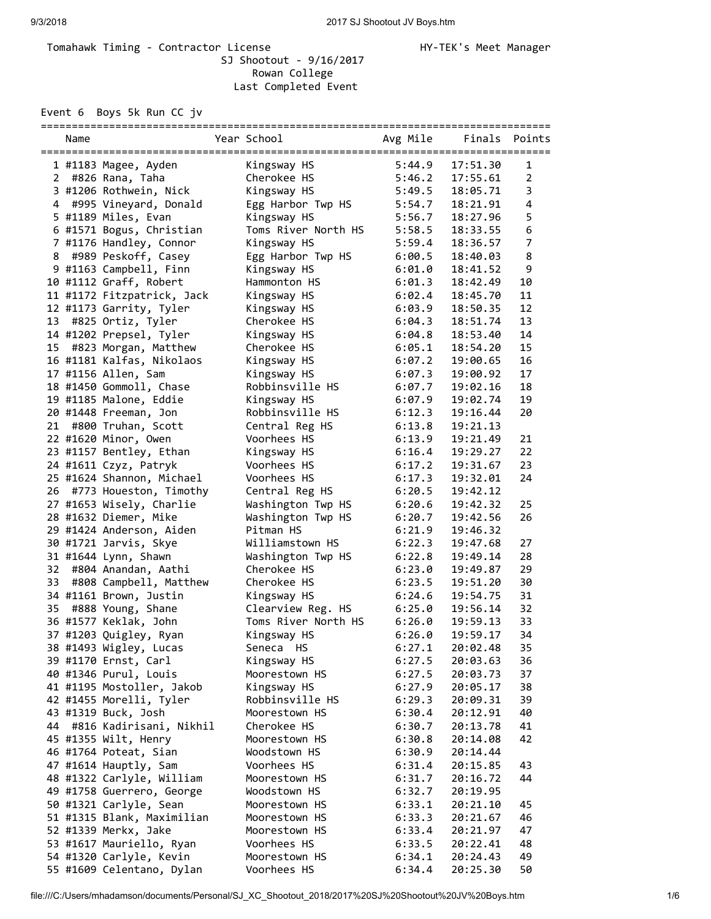## Tomahawk Timing - Contractor License Manager Manager HY-TEK's Meet Manager SJ Shootout - 9/16/2017 Rowan College Last Completed Event

Event 6 Boys 5k Run CC jv

|    | Name |                            | Year School         | Avg Mile | Finals Points |                |
|----|------|----------------------------|---------------------|----------|---------------|----------------|
|    |      | 1 #1183 Magee, Ayden       | Kingsway HS         | 5:44.9   | 17:51.30      | 1              |
| 2  |      | #826 Rana, Taha            | Cherokee HS         | 5:46.2   | 17:55.61      | $\overline{2}$ |
|    |      | 3 #1206 Rothwein, Nick     | Kingsway HS         | 5:49.5   | 18:05.71      | 3              |
|    |      | 4 #995 Vineyard, Donald    | Egg Harbor Twp HS   | 5:54.7   | 18:21.91      | $\overline{4}$ |
|    |      | 5 #1189 Miles, Evan        | Kingsway HS         | 5:56.7   | 18:27.96      | 5              |
|    |      | 6 #1571 Bogus, Christian   | Toms River North HS | 5:58.5   | 18:33.55      | 6              |
|    |      | 7 #1176 Handley, Connor    |                     | 5:59.4   | 18:36.57      | 7              |
|    |      |                            | Kingsway HS         | 6:00.5   |               | 8              |
| 8  |      | #989 Peskoff, Casey        | Egg Harbor Twp HS   |          | 18:40.03      |                |
|    |      | 9 #1163 Campbell, Finn     | Kingsway HS         | 6:01.0   | 18:41.52      | 9              |
|    |      | 10 #1112 Graff, Robert     | Hammonton HS        | 6:01.3   | 18:42.49      | 10             |
|    |      | 11 #1172 Fitzpatrick, Jack | Kingsway HS         | 6:02.4   | 18:45.70      | 11             |
|    |      | 12 #1173 Garrity, Tyler    | Kingsway HS         | 6:03.9   | 18:50.35      | 12             |
| 13 |      | #825 Ortiz, Tyler          | Cherokee HS         | 6:04.3   | 18:51.74      | 13             |
|    |      | 14 #1202 Prepsel, Tyler    | Kingsway HS         | 6:04.8   | 18:53.40      | 14             |
| 15 |      | #823 Morgan, Matthew       | Cherokee HS         | 6:05.1   | 18:54.20      | 15             |
|    |      | 16 #1181 Kalfas, Nikolaos  | Kingsway HS         | 6:07.2   | 19:00.65      | 16             |
|    |      | 17 #1156 Allen, Sam        | Kingsway HS         | 6:07.3   | 19:00.92      | 17             |
|    |      | 18 #1450 Gommoll, Chase    | Robbinsville HS     | 6:07.7   | 19:02.16      | 18             |
|    |      | 19 #1185 Malone, Eddie     | Kingsway HS         | 6:07.9   | 19:02.74      | 19             |
|    |      | 20 #1448 Freeman, Jon      | Robbinsville HS     | 6:12.3   | 19:16.44      | 20             |
| 21 |      | #800 Truhan, Scott         | Central Reg HS      | 6:13.8   | 19:21.13      |                |
|    |      | 22 #1620 Minor, Owen       | Voorhees HS         | 6:13.9   | 19:21.49      | 21             |
|    |      | 23 #1157 Bentley, Ethan    | Kingsway HS         | 6:16.4   | 19:29.27      | 22             |
|    |      | 24 #1611 Czyz, Patryk      | Voorhees HS         | 6:17.2   | 19:31.67      | 23             |
|    |      | 25 #1624 Shannon, Michael  | Voorhees HS         | 6:17.3   | 19:32.01      | 24             |
| 26 |      | #773 Houeston, Timothy     | Central Reg HS      | 6:20.5   | 19:42.12      |                |
|    |      | 27 #1653 Wisely, Charlie   | Washington Twp HS   | 6:20.6   | 19:42.32      | 25             |
|    |      | 28 #1632 Diemer, Mike      | Washington Twp HS   | 6:20.7   | 19:42.56      | 26             |
|    |      | 29 #1424 Anderson, Aiden   | Pitman HS           | 6:21.9   | 19:46.32      |                |
|    |      | 30 #1721 Jarvis, Skye      | Williamstown HS     | 6:22.3   | 19:47.68      | 27             |
|    |      | 31 #1644 Lynn, Shawn       | Washington Twp HS   | 6:22.8   | 19:49.14      | 28             |
| 32 |      | #804 Anandan, Aathi        | Cherokee HS         | 6:23.0   | 19:49.87      | 29             |
| 33 |      | #808 Campbell, Matthew     | Cherokee HS         | 6:23.5   | 19:51.20      | 30             |
|    |      | 34 #1161 Brown, Justin     | Kingsway HS         | 6:24.6   | 19:54.75      | 31             |
| 35 |      | #888 Young, Shane          | Clearview Reg. HS   | 6:25.0   | 19:56.14      | 32             |
|    |      | 36 #1577 Keklak, John      | Toms River North HS | 6:26.0   | 19:59.13      | 33             |
|    |      |                            |                     |          | 19:59.17      | 34             |
|    |      | 37 #1203 Quigley, Ryan     | Kingsway HS         | 6:26.0   |               |                |
|    |      | 38 #1493 Wigley, Lucas     | Seneca HS           | 6:27.1   | 20:02.48      | 35             |
|    |      | 39 #1170 Ernst, Carl       | Kingsway HS         | 6:27.5   | 20:03.63      | 36             |
|    |      | 40 #1346 Purul, Louis      | Moorestown HS       | 6:27.5   | 20:03.73      | 37             |
|    |      | 41 #1195 Mostoller, Jakob  | Kingsway HS         | 6:27.9   | 20:05.17      | 38             |
|    |      | 42 #1455 Morelli, Tyler    | Robbinsville HS     | 6:29.3   | 20:09.31      | 39             |
|    |      | 43 #1319 Buck, Josh        | Moorestown HS       | 6:30.4   | 20:12.91      | 40             |
| 44 |      | #816 Kadirisani, Nikhil    | Cherokee HS         | 6:30.7   | 20:13.78      | 41             |
|    |      | 45 #1355 Wilt, Henry       | Moorestown HS       | 6:30.8   | 20:14.08      | 42             |
|    |      | 46 #1764 Poteat, Sian      | Woodstown HS        | 6:30.9   | 20:14.44      |                |
|    |      | 47 #1614 Hauptly, Sam      | Voorhees HS         | 6:31.4   | 20:15.85      | 43             |
|    |      | 48 #1322 Carlyle, William  | Moorestown HS       | 6:31.7   | 20:16.72      | 44             |
|    |      | 49 #1758 Guerrero, George  | Woodstown HS        | 6:32.7   | 20:19.95      |                |
|    |      | 50 #1321 Carlyle, Sean     | Moorestown HS       | 6:33.1   | 20:21.10      | 45             |
|    |      | 51 #1315 Blank, Maximilian | Moorestown HS       | 6:33.3   | 20:21.67      | 46             |
|    |      | 52 #1339 Merkx, Jake       | Moorestown HS       | 6:33.4   | 20:21.97      | 47             |
|    |      | 53 #1617 Mauriello, Ryan   | Voorhees HS         | 6:33.5   | 20:22.41      | 48             |
|    |      | 54 #1320 Carlyle, Kevin    | Moorestown HS       | 6:34.1   | 20:24.43      | 49             |
|    |      | 55 #1609 Celentano, Dylan  | Voorhees HS         | 6:34.4   | 20:25.30      | 50             |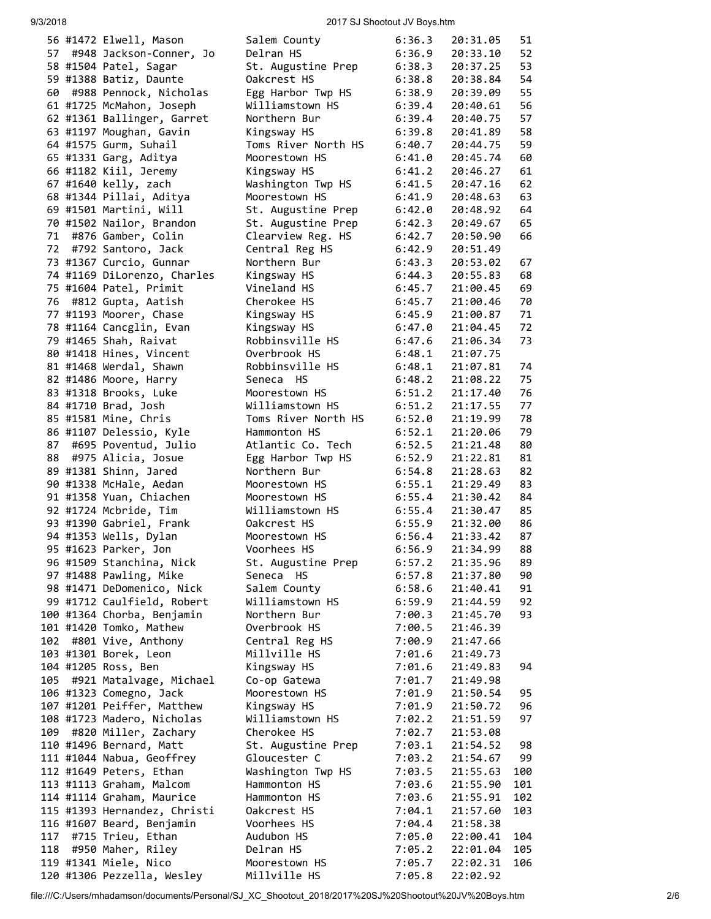### 9/3/2018 2017 SJ Shootout JV Boys.htm

|     | 56 #1472 Elwell, Mason       | Salem County        | 6:36.3 | 20:31.05 | 51  |
|-----|------------------------------|---------------------|--------|----------|-----|
|     | 57 #948 Jackson-Conner, Jo   | Delran HS           | 6:36.9 | 20:33.10 | 52  |
|     | 58 #1504 Patel, Sagar        | St. Augustine Prep  | 6:38.3 | 20:37.25 | 53  |
|     | 59 #1388 Batiz, Daunte       | Oakcrest HS         | 6:38.8 | 20:38.84 | 54  |
|     | 60 #988 Pennock, Nicholas    | Egg Harbor Twp HS   | 6:38.9 | 20:39.09 | 55  |
|     |                              |                     |        |          |     |
|     | 61 #1725 McMahon, Joseph     | Williamstown HS     | 6:39.4 | 20:40.61 | 56  |
|     | 62 #1361 Ballinger, Garret   | Northern Bur        | 6:39.4 | 20:40.75 | 57  |
|     | 63 #1197 Moughan, Gavin      | Kingsway HS         | 6:39.8 | 20:41.89 | 58  |
|     | 64 #1575 Gurm, Suhail        | Toms River North HS | 6:40.7 | 20:44.75 | 59  |
|     |                              |                     |        |          |     |
|     | 65 #1331 Garg, Aditya        | Moorestown HS       | 6:41.0 | 20:45.74 | 60  |
|     | 66 #1182 Kiil, Jeremy        | Kingsway HS         | 6:41.2 | 20:46.27 | 61  |
|     | 67 #1640 kelly, zach         | Washington Twp HS   | 6:41.5 | 20:47.16 | 62  |
|     | 68 #1344 Pillai, Aditya      | Moorestown HS       | 6:41.9 | 20:48.63 | 63  |
|     | 69 #1501 Martini, Will       | St. Augustine Prep  | 6:42.0 | 20:48.92 | 64  |
|     |                              |                     |        |          |     |
|     | 70 #1502 Nailor, Brandon     | St. Augustine Prep  | 6:42.3 | 20:49.67 | 65  |
| 71  | #876 Gamber, Colin           | Clearview Reg. HS   | 6:42.7 | 20:50.90 | 66  |
| 72  | #792 Santoro, Jack           | Central Reg HS      | 6:42.9 | 20:51.49 |     |
|     | 73 #1367 Curcio, Gunnar      | Northern Bur        | 6:43.3 | 20:53.02 | 67  |
|     | 74 #1169 DiLorenzo, Charles  | Kingsway HS         | 6:44.3 | 20:55.83 | 68  |
|     |                              |                     |        |          |     |
|     | 75 #1604 Patel, Primit       | Vineland HS         | 6:45.7 | 21:00.45 | 69  |
|     | 76 #812 Gupta, Aatish        | Cherokee HS         | 6:45.7 | 21:00.46 | 70  |
|     | 77 #1193 Moorer, Chase       | Kingsway HS         | 6:45.9 | 21:00.87 | 71  |
|     | 78 #1164 Cancglin, Evan      | Kingsway HS         | 6:47.0 | 21:04.45 | 72  |
|     | 79 #1465 Shah, Raivat        | Robbinsville HS     | 6:47.6 | 21:06.34 | 73  |
|     |                              |                     |        |          |     |
|     | 80 #1418 Hines, Vincent      | Overbrook HS        | 6:48.1 | 21:07.75 |     |
|     | 81 #1468 Werdal, Shawn       | Robbinsville HS     | 6:48.1 | 21:07.81 | 74  |
|     | 82 #1486 Moore, Harry        | Seneca HS           | 6:48.2 | 21:08.22 | 75  |
|     | 83 #1318 Brooks, Luke        | Moorestown HS       | 6:51.2 | 21:17.40 | 76  |
|     | 84 #1710 Brad, Josh          | Williamstown HS     | 6:51.2 | 21:17.55 | 77  |
|     |                              |                     |        |          |     |
|     | 85 #1581 Mine, Chris         | Toms River North HS | 6:52.0 | 21:19.99 | 78  |
|     | 86 #1107 Delessio, Kyle      | Hammonton HS        | 6:52.1 | 21:20.06 | 79  |
| 87  | #695 Poventud, Julio         | Atlantic Co. Tech   | 6:52.5 | 21:21.48 | 80  |
| 88  | #975 Alicia, Josue           | Egg Harbor Twp HS   | 6:52.9 | 21:22.81 | 81  |
|     | 89 #1381 Shinn, Jared        | Northern Bur        | 6:54.8 | 21:28.63 | 82  |
|     |                              |                     |        |          |     |
|     | 90 #1338 McHale, Aedan       | Moorestown HS       | 6:55.1 | 21:29.49 | 83  |
|     | 91 #1358 Yuan, Chiachen      | Moorestown HS       | 6:55.4 | 21:30.42 | 84  |
|     | 92 #1724 Mcbride, Tim        | Williamstown HS     | 6:55.4 | 21:30.47 | 85  |
|     | 93 #1390 Gabriel, Frank      | Oakcrest HS         | 6:55.9 | 21:32.00 | 86  |
|     | 94 #1353 Wells, Dylan        |                     |        |          | 87  |
|     |                              | Moorestown HS       | 6:56.4 | 21:33.42 |     |
|     | 95 #1623 Parker, Jon         | Voorhees HS         | 6:56.9 | 21:34.99 | 88  |
|     | 96 #1509 Stanchina, Nick     | St. Augustine Prep  | 6:57.2 | 21:35.96 | 89  |
|     | 97 #1488 Pawling, Mike       | Seneca HS           | 6:57.8 | 21:37.80 | 90  |
|     | 98 #1471 DeDomenico, Nick    | Salem County        | 6:58.6 | 21:40.41 | 91  |
|     |                              |                     |        |          |     |
|     | 99 #1712 Caulfield, Robert   | Williamstown HS     | 6:59.9 | 21:44.59 | 92  |
|     | 100 #1364 Chorba, Benjamin   | Northern Bur        | 7:00.3 | 21:45.70 | 93  |
|     | 101 #1420 Tomko, Mathew      | Overbrook HS        | 7:00.5 | 21:46.39 |     |
| 102 | #801 Vive, Anthony           | Central Reg HS      | 7:00.9 | 21:47.66 |     |
|     | 103 #1301 Borek, Leon        | Millville HS        | 7:01.6 | 21:49.73 |     |
|     | 104 #1205 Ross, Ben          | Kingsway HS         |        |          |     |
|     |                              |                     | 7:01.6 | 21:49.83 | 94  |
|     | 105 #921 Matalvage, Michael  | Co-op Gatewa        | 7:01.7 | 21:49.98 |     |
|     | 106 #1323 Comegno, Jack      | Moorestown HS       | 7:01.9 | 21:50.54 | 95  |
|     | 107 #1201 Peiffer, Matthew   | Kingsway HS         | 7:01.9 | 21:50.72 | 96  |
|     | 108 #1723 Madero, Nicholas   | Williamstown HS     | 7:02.2 | 21:51.59 | 97  |
|     |                              |                     |        |          |     |
| 109 | #820 Miller, Zachary         | Cherokee HS         | 7:02.7 | 21:53.08 |     |
|     | 110 #1496 Bernard, Matt      | St. Augustine Prep  | 7:03.1 | 21:54.52 | 98  |
|     | 111 #1044 Nabua, Geoffrey    | Gloucester C        | 7:03.2 | 21:54.67 | 99  |
|     | 112 #1649 Peters, Ethan      | Washington Twp HS   | 7:03.5 | 21:55.63 | 100 |
|     | 113 #1113 Graham, Malcom     | Hammonton HS        | 7:03.6 | 21:55.90 | 101 |
|     |                              |                     |        |          |     |
|     | 114 #1114 Graham, Maurice    | Hammonton HS        | 7:03.6 | 21:55.91 | 102 |
|     | 115 #1393 Hernandez, Christi | Oakcrest HS         | 7:04.1 | 21:57.60 | 103 |
|     | 116 #1607 Beard, Benjamin    | Voorhees HS         | 7:04.4 | 21:58.38 |     |
| 117 | #715 Trieu, Ethan            | Audubon HS          | 7:05.0 | 22:00.41 | 104 |
| 118 | #950 Maher, Riley            | Delran HS           | 7:05.2 | 22:01.04 | 105 |
|     |                              |                     |        |          |     |
|     | 119 #1341 Miele, Nico        | Moorestown HS       | 7:05.7 | 22:02.31 | 106 |
|     | 120 #1306 Pezzella, Wesley   | Millville HS        | 7:05.8 | 22:02.92 |     |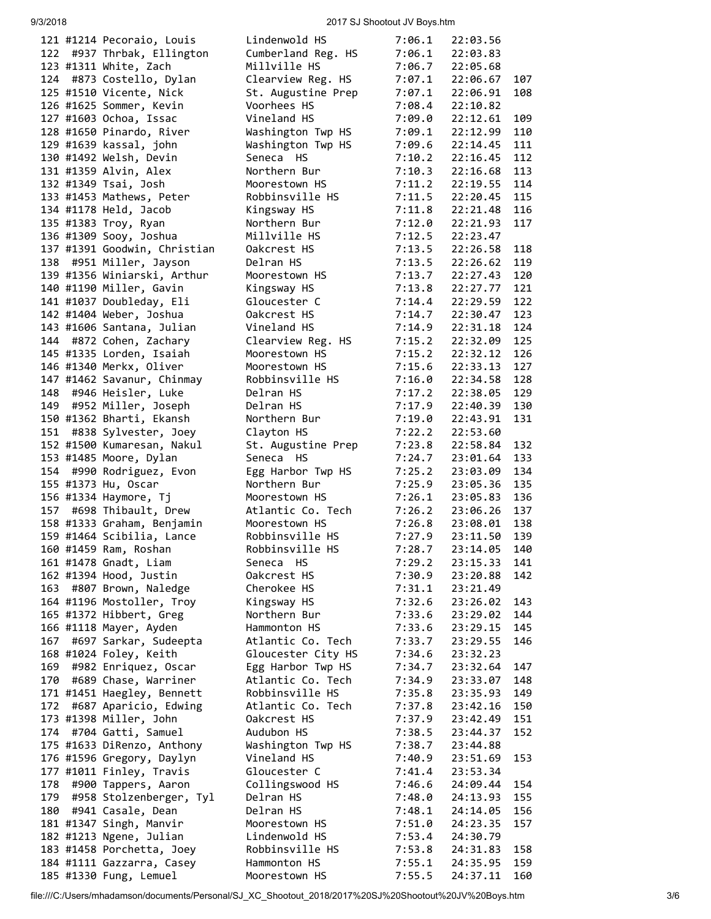### 9/3/2018 2017 SJ Shootout JV Boys.htm

|  | 121 #1214 Pecoraio, Louis                                                | L                       |
|--|--------------------------------------------------------------------------|-------------------------|
|  | 122 #937 Thrbak, Ellington                                               | C                       |
|  | 123 #1311 White, Zach                                                    | Ņ                       |
|  | 124 #873 Costello, Dylan                                                 | $\mathsf{C}$            |
|  | 125 #1510 Vicente, Nick                                                  | S                       |
|  | 126 #1625 Sommer, Kevin                                                  | ١                       |
|  |                                                                          |                         |
|  | 127 #1603 Ochoa, Issac                                                   | V                       |
|  | 128 #1650 Pinardo, River                                                 | h                       |
|  | 129 #1639 kassal, john                                                   | h                       |
|  | 130 #1492 Welsh, Devin                                                   | S                       |
|  |                                                                          | N                       |
|  | 131 #1359 Alvin, Alex<br>132 #1349 Tsai, Josh                            | M                       |
|  | 133 #1453 Mathews, Peter                                                 | R                       |
|  |                                                                          |                         |
|  | 134 #1178 Held, Jacob                                                    | K                       |
|  | 135 #1383 Troy, Ryan                                                     | N                       |
|  | 136 #1309 Sooy, Joshua                                                   | Μ                       |
|  | 137 #1391 Goodwin, Christian                                             | $\mathsf{C}$            |
|  | 138 #951 Miller, Jayson                                                  | D                       |
|  | 139 #1356 Winiarski, Arthur                                              | M                       |
|  | 140 #1190 Miller, Gavin                                                  | K                       |
|  |                                                                          |                         |
|  | 141 #1037 Doubleday, Eli                                                 | G                       |
|  | 142 #1404 Weber, Joshua                                                  | C                       |
|  | 143 #1606 Santana, Julian                                                | ١                       |
|  | 144 #872 Cohen, Zachary                                                  | $\mathsf{C}$            |
|  | 145 #1335 Lorden, Isaiah                                                 | M                       |
|  | 146 #1340 Merkx, Oliver                                                  | M                       |
|  |                                                                          | $\mathsf{R}$            |
|  | 147 #1462 Savanur, Chinmay<br>148  #946 Heisler, Luke                    | D                       |
|  |                                                                          |                         |
|  | 149 #952 Miller, Joseph                                                  | D                       |
|  | 150 #1362 Bharti, Ekansh                                                 | Ņ                       |
|  | 151 #838 Sylvester, Joey                                                 | C                       |
|  | 152 #1500 Kumaresan, Nakul                                               | $\overline{\mathsf{S}}$ |
|  | 153 #1485 Moore, Dylan                                                   | S                       |
|  | 154 #990 Rodriguez, Evon                                                 | E                       |
|  | 155 #1373 Hu, Oscar                                                      | N                       |
|  | 156 #1334 Haymore, Tj                                                    | M                       |
|  | 157 #698 Thibault, Drew                                                  | A                       |
|  | 158 #1333 Graham, Benjamin                                               | M                       |
|  |                                                                          |                         |
|  | 159 #1464 Scibilia, Lance                                                | Ŗ                       |
|  | 160 #1459 Ram, Roshan                                                    | R                       |
|  | 161 #1478 Gnadt, Liam                                                    | S                       |
|  | 162 #1394 Hood, Justin                                                   | C                       |
|  | 163 #807 Brown, Naledge                                                  | C                       |
|  | 164 #1196 Mostoller, Troy                                                | K                       |
|  | 165 #1372 Hibbert, Greg                                                  | Ņ                       |
|  | 166 #1118 Mayer, Ayden                                                   | ۲                       |
|  |                                                                          |                         |
|  | 167 #697 Sarkar, Sudeepta                                                | A                       |
|  | 168 #1024 Foley, Keith                                                   | G                       |
|  | 169 #982 Enriquez, Oscar                                                 | Е                       |
|  | 170 #689 Chase, Warriner                                                 | A                       |
|  | 171 #1451 Haegley, Bennett                                               | R                       |
|  | 172 #687 Aparicio, Edwing                                                | A                       |
|  | 173 #1398 Miller, John                                                   | C                       |
|  | 174 #704 Gatti, Samuel                                                   | A                       |
|  |                                                                          |                         |
|  | 175 #1633 DiRenzo, Anthony                                               | W                       |
|  | 176 #1596 Gregory, Daylyn                                                | ٧                       |
|  | 177 #1011 Finley, Travis                                                 | G                       |
|  |                                                                          | C                       |
|  |                                                                          |                         |
|  | 178 #900 Tappers, Aaron<br>179 #958 Stolzenberger,<br>Stolzenberger, Tyl | D                       |
|  |                                                                          | С                       |
|  |                                                                          |                         |
|  | 181 #1347 Singh, Manvir                                                  | Μ                       |
|  | 182 #1213 Ngene, Julian                                                  | L                       |
|  | 183 #1458 Porchetta, Joey                                                | R                       |
|  | 184 #1111 Gazzarra, Casey<br>185 #1330 Fung, Lemuel                      | ۲<br>Μ                  |

|     | 121 #1214 Pecoraio, Louis    | Lindenwold HS      | 7:06.1 | 22:03.56 |     |
|-----|------------------------------|--------------------|--------|----------|-----|
| 122 | #937 Thrbak, Ellington       | Cumberland Reg. HS | 7:06.1 | 22:03.83 |     |
|     | 123 #1311 White, Zach        | Millville HS       | 7:06.7 | 22:05.68 |     |
| 124 | #873 Costello, Dylan         | Clearview Reg. HS  | 7:07.1 | 22:06.67 | 107 |
|     | 125 #1510 Vicente, Nick      | St. Augustine Prep | 7:07.1 | 22:06.91 | 108 |
|     | 126 #1625 Sommer, Kevin      | Voorhees HS        | 7:08.4 | 22:10.82 |     |
|     | 127 #1603 Ochoa, Issac       | Vineland HS        | 7:09.0 | 22:12.61 | 109 |
|     | 128 #1650 Pinardo, River     | Washington Twp HS  | 7:09.1 | 22:12.99 | 110 |
|     | 129 #1639 kassal, john       | Washington Twp HS  | 7:09.6 | 22:14.45 | 111 |
|     | 130 #1492 Welsh, Devin       | Seneca HS          | 7:10.2 | 22:16.45 | 112 |
|     | 131 #1359 Alvin, Alex        | Northern Bur       | 7:10.3 | 22:16.68 | 113 |
|     | 132 #1349 Tsai, Josh         | Moorestown HS      | 7:11.2 | 22:19.55 | 114 |
|     | 133 #1453 Mathews, Peter     | Robbinsville HS    | 7:11.5 | 22:20.45 | 115 |
|     | 134 #1178 Held, Jacob        | Kingsway HS        | 7:11.8 | 22:21.48 | 116 |
|     | 135 #1383 Troy, Ryan         | Northern Bur       | 7:12.0 | 22:21.93 | 117 |
|     | 136 #1309 Sooy, Joshua       | Millville HS       | 7:12.5 | 22:23.47 |     |
|     | 137 #1391 Goodwin, Christian | Oakcrest HS        | 7:13.5 | 22:26.58 | 118 |
| 138 | #951 Miller, Jayson          | Delran HS          | 7:13.5 | 22:26.62 | 119 |
|     | 139 #1356 Winiarski, Arthur  | Moorestown HS      | 7:13.7 | 22:27.43 | 120 |
|     | 140 #1190 Miller, Gavin      | Kingsway HS        | 7:13.8 | 22:27.77 | 121 |
|     | 141 #1037 Doubleday, Eli     | Gloucester C       | 7:14.4 | 22:29.59 | 122 |
|     | 142 #1404 Weber, Joshua      | Oakcrest HS        | 7:14.7 |          | 123 |
|     |                              |                    |        | 22:30.47 |     |
|     | 143 #1606 Santana, Julian    | Vineland HS        | 7:14.9 | 22:31.18 | 124 |
|     | 144 #872 Cohen, Zachary      | Clearview Reg. HS  | 7:15.2 | 22:32.09 | 125 |
|     | 145 #1335 Lorden, Isaiah     | Moorestown HS      | 7:15.2 | 22:32.12 | 126 |
|     | 146 #1340 Merkx, Oliver      | Moorestown HS      | 7:15.6 | 22:33.13 | 127 |
|     | 147 #1462 Savanur, Chinmay   | Robbinsville HS    | 7:16.0 | 22:34.58 | 128 |
| 148 | #946 Heisler, Luke           | Delran HS          | 7:17.2 | 22:38.05 | 129 |
| 149 | #952 Miller, Joseph          | Delran HS          | 7:17.9 | 22:40.39 | 130 |
|     | 150 #1362 Bharti, Ekansh     | Northern Bur       | 7:19.0 | 22:43.91 | 131 |
| 151 | #838 Sylvester, Joey         | Clayton HS         | 7:22.2 | 22:53.60 |     |
|     | 152 #1500 Kumaresan, Nakul   | St. Augustine Prep | 7:23.8 | 22:58.84 | 132 |
|     | 153 #1485 Moore, Dylan       | Seneca HS          | 7:24.7 | 23:01.64 | 133 |
| 154 | #990 Rodriguez, Evon         | Egg Harbor Twp HS  | 7:25.2 | 23:03.09 | 134 |
|     | 155 #1373 Hu, Oscar          | Northern Bur       | 7:25.9 | 23:05.36 | 135 |
|     | 156 #1334 Haymore, Tj        | Moorestown HS      | 7:26.1 | 23:05.83 | 136 |
| 157 | #698 Thibault, Drew          | Atlantic Co. Tech  | 7:26.2 | 23:06.26 | 137 |
|     | 158 #1333 Graham, Benjamin   | Moorestown HS      | 7:26.8 | 23:08.01 | 138 |
|     | 159 #1464 Scibilia, Lance    | Robbinsville HS    | 7:27.9 | 23:11.50 | 139 |
|     | 160 #1459 Ram, Roshan        | Robbinsville HS    | 7:28.7 | 23:14.05 | 140 |
|     | 161 #1478 Gnadt, Liam        | Seneca HS          | 7:29.2 | 23:15.33 | 141 |
|     | 162 #1394 Hood, Justin       | Oakcrest HS        | 7:30.9 | 23:20.88 | 142 |
| 163 | #807 Brown, Naledge          | Cherokee HS        | 7:31.1 | 23:21.49 |     |
|     | 164 #1196 Mostoller, Troy    | Kingsway HS        | 7:32.6 | 23:26.02 | 143 |
|     | 165 #1372 Hibbert, Greg      | Northern Bur       | 7:33.6 | 23:29.02 | 144 |
|     | 166 #1118 Mayer, Ayden       | Hammonton HS       | 7:33.6 | 23:29.15 | 145 |
| 167 | #697 Sarkar, Sudeepta        | Atlantic Co. Tech  | 7:33.7 | 23:29.55 | 146 |
|     | 168 #1024 Foley, Keith       | Gloucester City HS | 7:34.6 | 23:32.23 |     |
| 169 | #982 Enriquez, Oscar         | Egg Harbor Twp HS  | 7:34.7 | 23:32.64 | 147 |
| 170 | #689 Chase, Warriner         | Atlantic Co. Tech  | 7:34.9 | 23:33.07 | 148 |
|     | 171 #1451 Haegley, Bennett   | Robbinsville HS    | 7:35.8 | 23:35.93 | 149 |
| 172 | #687 Aparicio, Edwing        | Atlantic Co. Tech  | 7:37.8 | 23:42.16 | 150 |
|     | 173 #1398 Miller, John       | Oakcrest HS        | 7:37.9 | 23:42.49 | 151 |
| 174 | #704 Gatti, Samuel           | Audubon HS         | 7:38.5 | 23:44.37 | 152 |
|     | 175 #1633 DiRenzo, Anthony   | Washington Twp HS  | 7:38.7 | 23:44.88 |     |
|     | 176 #1596 Gregory, Daylyn    | Vineland HS        | 7:40.9 | 23:51.69 | 153 |
|     | 177 #1011 Finley, Travis     | Gloucester C       | 7:41.4 | 23:53.34 |     |
| 178 | #900 Tappers, Aaron          | Collingswood HS    | 7:46.6 | 24:09.44 | 154 |
| 179 | #958 Stolzenberger, Tyl      | Delran HS          | 7:48.0 | 24:13.93 | 155 |
| 180 | #941 Casale, Dean            | Delran HS          | 7:48.1 | 24:14.05 | 156 |
|     | 181 #1347 Singh, Manvir      | Moorestown HS      | 7:51.0 | 24:23.35 | 157 |
|     | 182 #1213 Ngene, Julian      | Lindenwold HS      | 7:53.4 | 24:30.79 |     |
|     | 183 #1458 Porchetta, Joey    | Robbinsville HS    | 7:53.8 | 24:31.83 | 158 |
|     | 184 #1111 Gazzarra, Casey    | Hammonton HS       | 7:55.1 | 24:35.95 | 159 |
|     | 185 #1330 Fung, Lemuel       | Moorestown HS      | 7:55.5 | 24:37.11 | 160 |
|     |                              |                    |        |          |     |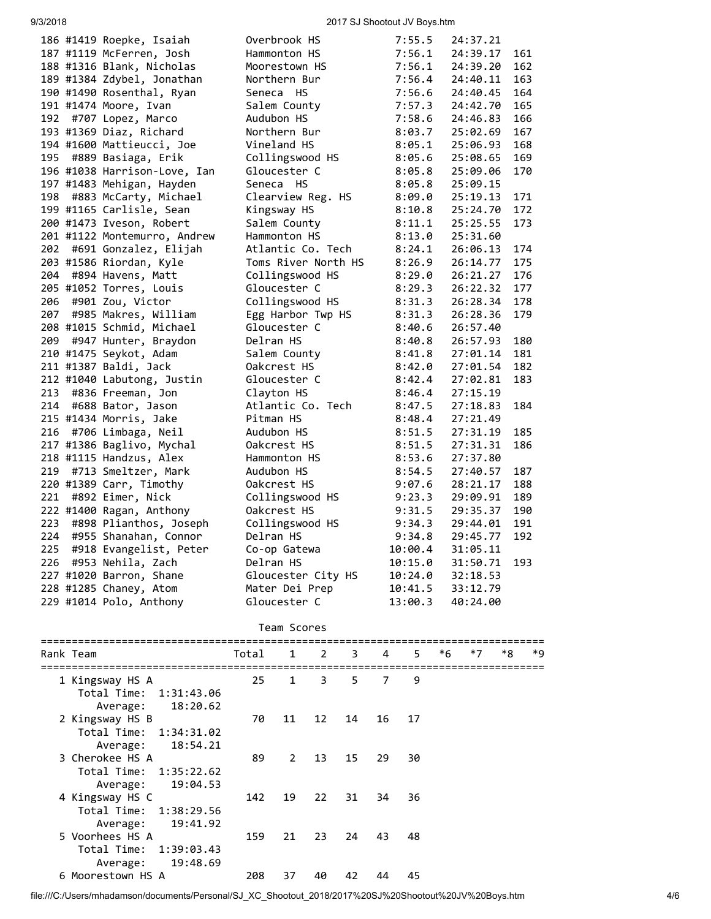# 9/3/2018 2017 SJ Shootout JV Boys.htm

|     | 186 #1419 Roepke, Isaiah     | Overbrook HS        | 7:55.5  | 24:37.21 |     |
|-----|------------------------------|---------------------|---------|----------|-----|
|     | 187 #1119 McFerren, Josh     | Hammonton HS        | 7:56.1  | 24:39.17 | 161 |
|     | 188 #1316 Blank, Nicholas    | Moorestown HS       | 7:56.1  | 24:39.20 | 162 |
|     | 189 #1384 Zdybel, Jonathan   | Northern Bur        | 7:56.4  | 24:40.11 | 163 |
|     | 190 #1490 Rosenthal, Ryan    | Seneca HS           | 7:56.6  | 24:40.45 | 164 |
|     | 191 #1474 Moore, Ivan        | Salem County        | 7:57.3  | 24:42.70 | 165 |
| 192 | #707 Lopez, Marco            | Audubon HS          | 7:58.6  | 24:46.83 | 166 |
|     | 193 #1369 Diaz, Richard      | Northern Bur        | 8:03.7  | 25:02.69 | 167 |
|     | 194 #1600 Mattieucci, Joe    | Vineland HS         | 8:05.1  | 25:06.93 | 168 |
| 195 | #889 Basiaga, Erik           | Collingswood HS     | 8:05.6  | 25:08.65 | 169 |
|     | 196 #1038 Harrison-Love, Ian | Gloucester C        | 8:05.8  | 25:09.06 | 170 |
|     | 197 #1483 Mehigan, Hayden    | Seneca HS           | 8:05.8  | 25:09.15 |     |
| 198 | #883 McCarty, Michael        | Clearview Reg. HS   | 8:09.0  | 25:19.13 | 171 |
|     | 199 #1165 Carlisle, Sean     | Kingsway HS         | 8:10.8  | 25:24.70 | 172 |
|     | 200 #1473 Iveson, Robert     | Salem County        | 8:11.1  | 25:25.55 | 173 |
|     | 201 #1122 Montemurro, Andrew | Hammonton HS        | 8:13.0  | 25:31.60 |     |
| 202 | #691 Gonzalez, Elijah        | Atlantic Co. Tech   | 8:24.1  | 26:06.13 | 174 |
|     | 203 #1586 Riordan, Kyle      | Toms River North HS | 8:26.9  | 26:14.77 | 175 |
| 204 | #894 Havens, Matt            | Collingswood HS     | 8:29.0  | 26:21.27 | 176 |
|     | 205 #1052 Torres, Louis      | Gloucester C        | 8:29.3  | 26:22.32 | 177 |
| 206 | #901 Zou, Victor             | Collingswood HS     | 8:31.3  | 26:28.34 | 178 |
| 207 | #985 Makres, William         | Egg Harbor Twp HS   | 8:31.3  | 26:28.36 | 179 |
|     | 208 #1015 Schmid, Michael    | Gloucester C        | 8:40.6  | 26:57.40 |     |
| 209 | #947 Hunter, Braydon         | Delran HS           | 8:40.8  | 26:57.93 | 180 |
|     | 210 #1475 Seykot, Adam       | Salem County        | 8:41.8  | 27:01.14 | 181 |
|     | 211 #1387 Baldi, Jack        | Oakcrest HS         | 8:42.0  | 27:01.54 | 182 |
|     | 212 #1040 Labutong, Justin   | Gloucester C        | 8:42.4  | 27:02.81 | 183 |
| 213 | #836 Freeman, Jon            | Clayton HS          | 8:46.4  | 27:15.19 |     |
| 214 | #688 Bator, Jason            | Atlantic Co. Tech   | 8:47.5  | 27:18.83 | 184 |
|     | 215 #1434 Morris, Jake       | Pitman HS           | 8:48.4  | 27:21.49 |     |
| 216 | #706 Limbaga, Neil           | Audubon HS          | 8:51.5  | 27:31.19 | 185 |
|     | 217 #1386 Baglivo, Mychal    | Oakcrest HS         | 8:51.5  | 27:31.31 | 186 |
|     | 218 #1115 Handzus, Alex      | Hammonton HS        | 8:53.6  | 27:37.80 |     |
| 219 | #713 Smeltzer, Mark          | Audubon HS          | 8:54.5  | 27:40.57 | 187 |
|     | 220 #1389 Carr, Timothy      | Oakcrest HS         | 9:07.6  | 28:21.17 | 188 |
| 221 | #892 Eimer, Nick             | Collingswood HS     | 9:23.3  | 29:09.91 | 189 |
|     | 222 #1400 Ragan, Anthony     | Oakcrest HS         | 9:31.5  | 29:35.37 | 190 |
| 223 | #898 Plianthos, Joseph       | Collingswood HS     | 9:34.3  | 29:44.01 | 191 |
| 224 | #955 Shanahan, Connor        | Delran HS           | 9:34.8  | 29:45.77 | 192 |
| 225 | #918 Evangelist, Peter       | Co-op Gatewa        | 10:00.4 | 31:05.11 |     |
| 226 | #953 Nehila, Zach            | Delran HS           | 10:15.0 | 31:50.71 | 193 |
|     | 227 #1020 Barron, Shane      | Gloucester City HS  | 10:24.0 | 32:18.53 |     |
|     | 228 #1285 Chaney, Atom       | Mater Dei Prep      | 10:41.5 | 33:12.79 |     |
|     | 229 #1014 Polo, Anthony      | Gloucester C        | 13:00.3 | 40:24.00 |     |
|     |                              |                     |         |          |     |

Team Scores

| Rank Team                 | Total | $\mathbf{1}$ | $2^{\sim}$ | 3  | 4  | 5. | *6 | $*7$ | *8 | *9 |
|---------------------------|-------|--------------|------------|----|----|----|----|------|----|----|
| 1 Kingsway HS A           | 25    | $\mathbf{1}$ | 3          | 5. | 7  | 9  |    |      |    |    |
| Total Time: 1:31:43.06    |       |              |            |    |    |    |    |      |    |    |
| 18:20.62<br>Average:      |       |              |            |    |    |    |    |      |    |    |
| 2 Kingsway HS B           | 70    | 11           | 12         | 14 | 16 | 17 |    |      |    |    |
| Total Time: 1:34:31.02    |       |              |            |    |    |    |    |      |    |    |
| 18:54.21<br>Average:      |       |              |            |    |    |    |    |      |    |    |
| 3 Cherokee HS A           | 89    | $2^{\circ}$  | 13         | 15 | 29 | 30 |    |      |    |    |
| Total Time:<br>1:35:22.62 |       |              |            |    |    |    |    |      |    |    |
| 19:04.53<br>Average:      |       |              |            |    |    |    |    |      |    |    |
| 4 Kingsway HS C           | 142   | 19           | 22         | 31 | 34 | 36 |    |      |    |    |
| Total Time: 1:38:29.56    |       |              |            |    |    |    |    |      |    |    |
| 19:41.92<br>Average:      |       |              |            |    |    |    |    |      |    |    |
| 5 Voorhees HS A           | 159   | 21           | 23         | 24 | 43 | 48 |    |      |    |    |
| Total Time:<br>1:39:03.43 |       |              |            |    |    |    |    |      |    |    |
| 19:48.69<br>Average:      |       |              |            |    |    |    |    |      |    |    |
| 6 Moorestown HS A         | 208   | 37           | 40         | 42 | 44 | 45 |    |      |    |    |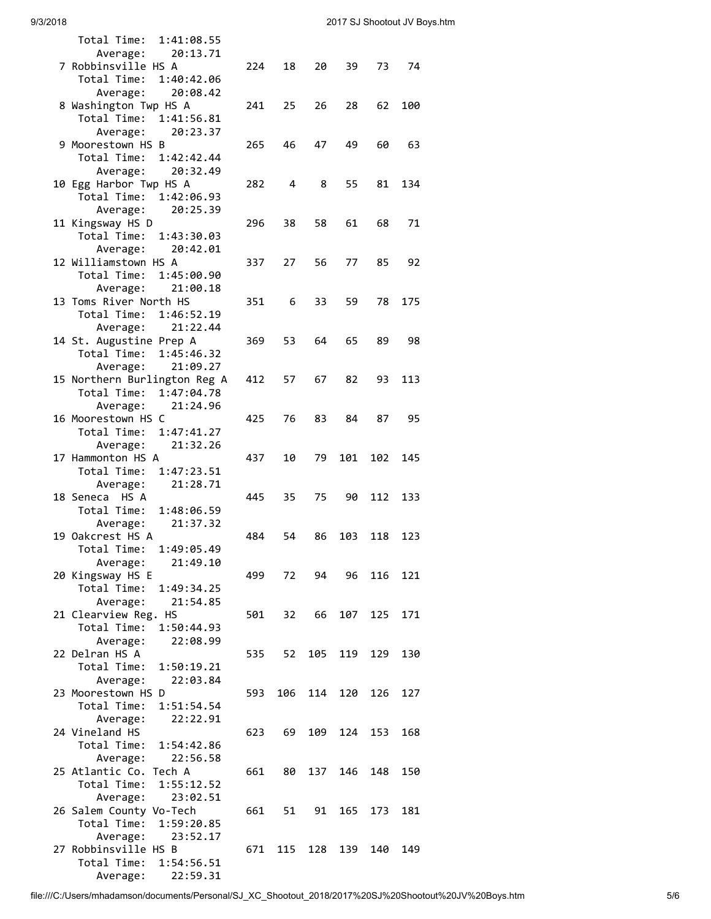| Total Time:<br>1:41:08.55                      |     |     |     |     |     |     |  |
|------------------------------------------------|-----|-----|-----|-----|-----|-----|--|
| 20:13.71<br>Average:                           |     |     |     |     |     |     |  |
| 7 Robbinsville HS A                            | 224 | 18  | 20  | 39  | 73  | 74  |  |
| Total Time:<br>1:40:42.06                      |     |     |     |     |     |     |  |
| 20:08.42<br>Average:                           |     |     |     |     |     |     |  |
| 8 Washington Twp HS A                          | 241 | 25  | 26  | 28  | 62  | 100 |  |
| Total Time:<br>1:41:56.81                      |     |     |     |     |     |     |  |
| 20:23.37<br>Average:                           |     |     |     |     |     |     |  |
| 9 Moorestown HS B                              | 265 | 46  | 47  | 49  | 60  | 63  |  |
| Total Time:<br>1:42:42.44                      |     |     |     |     |     |     |  |
| 20:32.49<br>Average:                           |     |     |     |     |     |     |  |
| 10 Egg Harbor Twp HS A                         | 282 | 4   | 8   | 55  | 81  | 134 |  |
| Total Time:<br>1:42:06.93                      |     |     |     |     |     |     |  |
| Average:<br>20:25.39                           |     |     |     |     |     |     |  |
| 11 Kingsway HS D                               | 296 | 38  | 58  | 61  | 68  | 71  |  |
| Total Time:<br>1:43:30.03                      |     |     |     |     |     |     |  |
| 20:42.01<br>Average:                           |     |     |     |     |     |     |  |
| 12 Williamstown HS A                           | 337 | 27  | 56  | 77  | 85  | 92  |  |
| Total Time:<br>1:45:00.90                      |     |     |     |     |     |     |  |
| 21:00.18<br>Average:<br>13 Toms River North HS |     |     |     |     |     | 175 |  |
| Total Time:<br>1:46:52.19                      | 351 | 6   | 33  | 59  | 78  |     |  |
| 21:22.44                                       |     |     |     |     |     |     |  |
| Average:<br>14 St. Augustine Prep A            | 369 | 53  | 64  | 65  | 89  | 98  |  |
| Total Time:<br>1:45:46.32                      |     |     |     |     |     |     |  |
| 21:09.27<br>Average:                           |     |     |     |     |     |     |  |
| 15 Northern Burlington Reg A                   | 412 | 57  | 67  | 82  | 93  | 113 |  |
| Total Time: 1:47:04.78                         |     |     |     |     |     |     |  |
| 21:24.96<br>Average:                           |     |     |     |     |     |     |  |
| 16 Moorestown HS<br>C                          | 425 | 76  | 83  | 84  | 87  | 95  |  |
| Total Time:<br>1:47:41.27                      |     |     |     |     |     |     |  |
| 21:32.26<br>Average:                           |     |     |     |     |     |     |  |
| 17 Hammonton HS A                              | 437 | 10  | 79  | 101 | 102 | 145 |  |
| Total Time:<br>1:47:23.51                      |     |     |     |     |     |     |  |
| 21:28.71<br>Average:                           |     |     |     |     |     |     |  |
| 18 Seneca HS A                                 | 445 | 35  | 75  | 90  | 112 | 133 |  |
| Total Time:<br>1:48:06.59                      |     |     |     |     |     |     |  |
| 21:37.32<br>Average:                           |     |     |     |     |     |     |  |
| 19 Oakcrest HS A                               | 484 | 54  | 86  | 103 | 118 | 123 |  |
| 1:49:05.49<br>Total Time:                      |     |     |     |     |     |     |  |
| Average:<br>21:49.10                           |     |     |     |     |     |     |  |
| 20 Kingsway HS E                               | 499 | 72  | 94  | 96  | 116 | 121 |  |
| Total Time:<br>1:49:34.25                      |     |     |     |     |     |     |  |
| 21:54.85<br>Average:                           |     |     |     |     |     |     |  |
| 21 Clearview Reg. HS                           | 501 | 32  | 66  | 107 | 125 | 171 |  |
| Total Time:<br>1:50:44.93                      |     |     |     |     |     |     |  |
| Average:<br>22:08.99                           |     |     |     |     |     |     |  |
| 22 Delran HS A                                 | 535 | 52  | 105 | 119 | 129 | 130 |  |
| Total Time:<br>1:50:19.21                      |     |     |     |     |     |     |  |
| Average:<br>22:03.84                           |     |     |     |     |     |     |  |
| 23 Moorestown HS D                             | 593 | 106 | 114 | 120 | 126 | 127 |  |
| Total Time:<br>1:51:54.54                      |     |     |     |     |     |     |  |
| Average:<br>22:22.91                           |     |     |     |     |     |     |  |
| 24 Vineland HS                                 | 623 | 69  | 109 | 124 | 153 | 168 |  |
| Total Time:<br>1:54:42.86                      |     |     |     |     |     |     |  |
| Average:<br>22:56.58                           |     |     |     |     |     |     |  |
| 25 Atlantic Co. Tech A                         | 661 | 80  | 137 | 146 | 148 | 150 |  |
| Total Time:<br>1:55:12.52                      |     |     |     |     |     |     |  |
| 23:02.51<br>Average:                           |     |     |     |     |     |     |  |
| 26 Salem County Vo-Tech                        | 661 | 51  | 91  | 165 | 173 | 181 |  |
| Total Time:<br>1:59:20.85                      |     |     |     |     |     |     |  |
| 23:52.17<br>Average:                           |     |     |     |     |     |     |  |
| 27 Robbinsville HS B<br>Total Time:            | 671 | 115 | 128 | 139 | 140 | 149 |  |
| 1:54:56.51<br>22:59.31                         |     |     |     |     |     |     |  |
| Average:                                       |     |     |     |     |     |     |  |